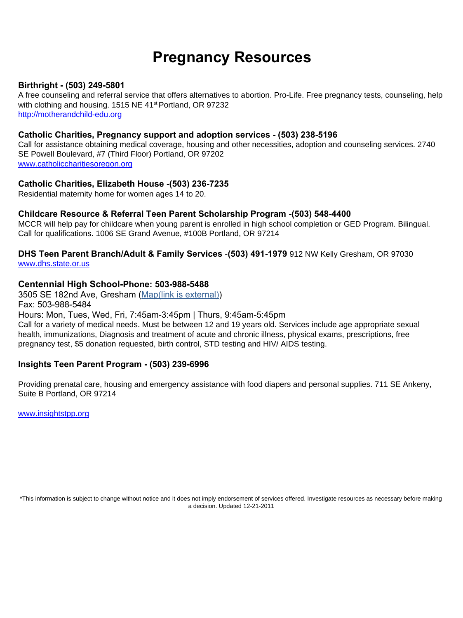# **Pregnancy Resources**

# **Birthright - (503) 249-5801**

A free counseling and referral service that offers alternatives to abortion. Pro-Life. Free pregnancy tests, counseling, help with clothing and housing. 1515 NE 41<sup>st</sup> Portland, OR 97232 http://motherandchild-edu.org

#### **Catholic Charities, Pregnancy support and adoption services - (503) 238-5196**

Call for assistance obtaining medical coverage, housing and other necessities, adoption and counseling services. 2740 SE Powell Boulevard, #7 (Third Floor) Portland, OR 97202 www.catholiccharitiesoregon.org

#### **Catholic Charities, Elizabeth House -(503) 236-7235**

Residential maternity home for women ages 14 to 20.

#### **Childcare Resource & Referral Teen Parent Scholarship Program -(503) 548-4400**

MCCR will help pay for childcare when young parent is enrolled in high school completion or GED Program. Bilingual. Call for qualifications. 1006 SE Grand Avenue, #100B Portland, OR 97214

#### **DHS Teen Parent Branch/Adult & Family Services** -**(503) 491-1979** 912 NW Kelly Gresham, OR 97030 www.dhs.state.or.us

#### **Centennial High School-Phone: 503-988-5488**

3505 SE 182nd Ave, Gresham (Map(link is [external\)\)](https://www.google.com/maps/d/u/0/viewer?mid=13DvHmWwHPOYEMbS2gvsF2CS8My8&ll=45.57425427426039%2C-122.52192374536133&z=13) Fax: 503-988-5484 Hours: Mon, Tues, Wed, Fri, 7:45am-3:45pm | Thurs, 9:45am-5:45pm Call for a variety of medical needs. Must be between 12 and 19 years old. Services include age appropriate sexual health, immunizations, Diagnosis and treatment of acute and chronic illness, physical exams, prescriptions, free pregnancy test, \$5 donation requested, birth control, STD testing and HIV/ AIDS testing.

### **Insights Teen Parent Program - (503) 239-6996**

Providing prenatal care, housing and emergency assistance with food diapers and personal supplies. 711 SE Ankeny, Suite B Portland, OR 97214

www.insightstpp.org

\*This information is subject to change without notice and it does not imply endorsement of services offered. Investigate resources as necessary before making a decision. Updated 12-21-2011